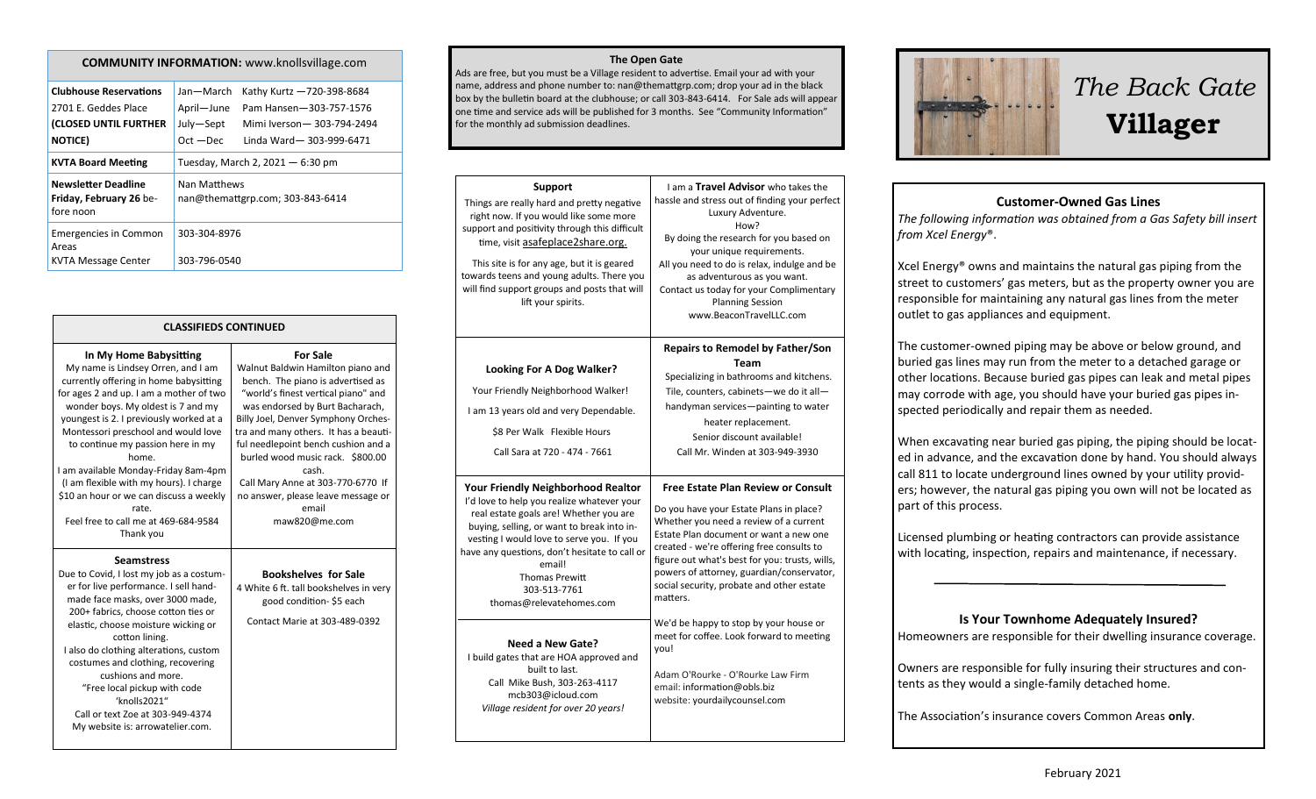| <b>COMMUNITY INFORMATION:</b> www.knollsvillage.com                                               |                                                     |                                                                                                              |  |  |
|---------------------------------------------------------------------------------------------------|-----------------------------------------------------|--------------------------------------------------------------------------------------------------------------|--|--|
| <b>Clubhouse Reservations</b><br>2701 E. Geddes Place<br>(CLOSED UNTIL FURTHER<br><b>NOTICE</b> ) | Jan-March<br>April-June<br>July-Sept<br>$Oct - Dec$ | Kathy Kurtz -720-398-8684<br>Pam Hansen-303-757-1576<br>Mimi Iverson-303-794-2494<br>Linda Ward-303-999-6471 |  |  |
| <b>KVTA Board Meeting</b>                                                                         | Tuesday, March 2, 2021 - 6:30 pm                    |                                                                                                              |  |  |
| <b>Newsletter Deadline</b><br>Friday, February 26 be-<br>fore noon                                | Nan Matthews<br>nan@themattgrp.com; 303-843-6414    |                                                                                                              |  |  |

#### **CLASSIFIEDS CONTINUED**

303-304-8976

303-796-0540

| In My Home Babysitting                  | <b>For Sale</b>                       |
|-----------------------------------------|---------------------------------------|
| My name is Lindsey Orren, and I am      | Walnut Baldwin Hamilton piano and     |
| currently offering in home babysitting  | bench. The piano is advertised as     |
| for ages 2 and up. I am a mother of two | "world's finest vertical piano" and   |
| wonder boys. My oldest is 7 and my      | was endorsed by Burt Bacharach,       |
| youngest is 2. I previously worked at a | Billy Joel, Denver Symphony Orches-   |
| Montessori preschool and would love     | tra and many others. It has a beauti- |
| to continue my passion here in my       | ful needlepoint bench cushion and a   |
| home.                                   | burled wood music rack. \$800.00      |
| I am available Monday-Friday 8am-4pm    | cash.                                 |
| (I am flexible with my hours). I charge | Call Mary Anne at 303-770-6770 If     |
| \$10 an hour or we can discuss a weekly | no answer, please leave message or    |
| rate.                                   | email                                 |
| Feel free to call me at 469-684-9584    | maw820@me.com                         |
| Thank you                               |                                       |
|                                         |                                       |

Emergencies in Common

KVTA Message Center

Areas

#### **Seamstress**

Due to Covid, I lost my job as a costumer for live performance. I sell handmade face masks, over 3000 made, 200+ fabrics, choose cotton ties or elastic, choose moisture wicking or cotton lining. I also do clothing alterations, custom costumes and clothing, recovering cushions and more. "Free local pickup with code 'knolls2021" Call or text Zoe at 303-949-4374 My website is: arrowatelier.com.

### **Bookshelves for Sale** 4 White 6 ft. tall bookshelves in very good condition- \$5 each Contact Marie at 303-489-0392

#### **The Open Gate**

Ads are free, but you must be a Village resident to advertise. Email your ad with your name, address and phone number to: nan@themattgrp.com; drop your ad in the black box by the bulletin board at the clubhouse; or call 303-843-6414. For Sale ads will appear one time and service ads will be published for 3 months. See "Community Information" for the monthly ad submission deadlines.

| <b>Support</b><br>Things are really hard and pretty negative<br>right now. If you would like some more<br>support and positivity through this difficult<br>time, visit asafeplace2share.org.<br>This site is for any age, but it is geared<br>towards teens and young adults. There you<br>will find support groups and posts that will<br>lift your spirits. | I am a Travel Advisor who takes the<br>hassle and stress out of finding your perfect<br>Luxury Adventure.<br>How?<br>By doing the research for you based on<br>your unique requirements.<br>All you need to do is relax, indulge and be<br>as adventurous as you want.<br>Contact us today for your Complimentary<br><b>Planning Session</b><br>www.BeaconTravelLLC.com       |
|---------------------------------------------------------------------------------------------------------------------------------------------------------------------------------------------------------------------------------------------------------------------------------------------------------------------------------------------------------------|-------------------------------------------------------------------------------------------------------------------------------------------------------------------------------------------------------------------------------------------------------------------------------------------------------------------------------------------------------------------------------|
| Looking For A Dog Walker?<br>Your Friendly Neighborhood Walker!<br>I am 13 years old and very Dependable.<br>\$8 Per Walk Flexible Hours<br>Call Sara at 720 - 474 - 7661                                                                                                                                                                                     | <b>Repairs to Remodel by Father/Son</b><br><b>Team</b><br>Specializing in bathrooms and kitchens.<br>Tile, counters, cabinets-we do it all-<br>handyman services-painting to water<br>heater replacement.<br>Senior discount available!<br>Call Mr. Winden at 303-949-3930                                                                                                    |
| <b>Your Friendly Neighborhood Realtor</b><br>I'd love to help you realize whatever your<br>real estate goals are! Whether you are<br>buying, selling, or want to break into in-<br>vesting I would love to serve you. If you<br>have any questions, don't hesitate to call or<br>email!<br><b>Thomas Prewitt</b><br>303-513-7761<br>thomas@relevatehomes.com  | <b>Free Estate Plan Review or Consult</b><br>Do you have your Estate Plans in place?<br>Whether you need a review of a current<br>Estate Plan document or want a new one<br>created - we're offering free consults to<br>figure out what's best for you: trusts, wills,<br>powers of attorney, guardian/conservator,<br>social security, probate and other estate<br>matters. |
| Need a New Gate?<br>I build gates that are HOA approved and<br>built to last.<br>Call Mike Bush, 303-263-4117<br>mcb303@icloud.com<br>Village resident for over 20 years!                                                                                                                                                                                     | We'd be happy to stop by your house or<br>meet for coffee. Look forward to meeting<br>you!<br>Adam O'Rourke - O'Rourke Law Firm<br>email: information@obls.biz<br>website: yourdailycounsel.com                                                                                                                                                                               |



# *The Back Gate*  **Villager**

#### **Customer-Owned Gas Lines**

*The following information was obtained from a Gas Safety bill insert from Xcel Energy*®.

Xcel Energy® owns and maintains the natural gas piping from the street to customers' gas meters, but as the property owner you are responsible for maintaining any natural gas lines from the meter outlet to gas appliances and equipment.

The customer-owned piping may be above or below ground, and buried gas lines may run from the meter to a detached garage or other locations. Because buried gas pipes can leak and metal pipes may corrode with age, you should have your buried gas pipes inspected periodically and repair them as needed.

When excavating near buried gas piping, the piping should be located in advance, and the excavation done by hand. You should always call 811 to locate underground lines owned by your utility providers; however, the natural gas piping you own will not be located as part of this process.

Licensed plumbing or heating contractors can provide assistance with locating, inspection, repairs and maintenance, if necessary.

#### **Is Your Townhome Adequately Insured?**

Homeowners are responsible for their dwelling insurance coverage.

Owners are responsible for fully insuring their structures and contents as they would a single-family detached home.

The Association's insurance covers Common Areas **only**.